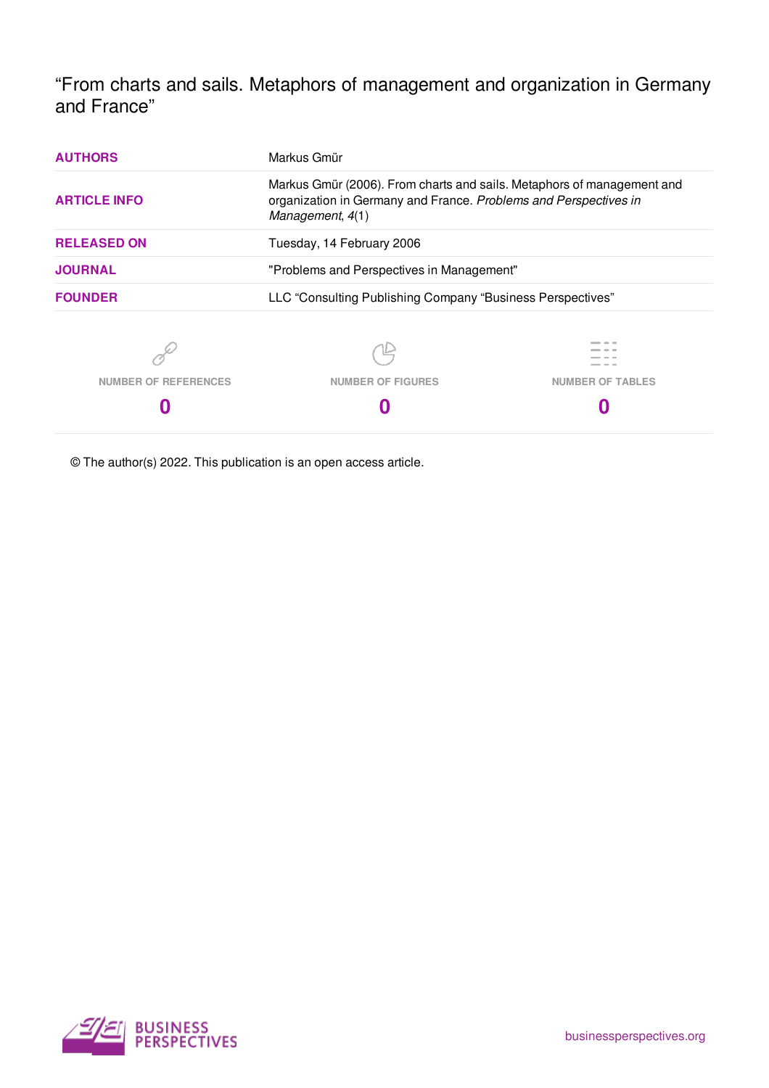"From charts and sails. Metaphors of management and organization in Germany and France"

| <b>AUTHORS</b>              | Markus Gmür                                                                                                                                                    |                         |
|-----------------------------|----------------------------------------------------------------------------------------------------------------------------------------------------------------|-------------------------|
| <b>ARTICLE INFO</b>         | Markus Gmür (2006). From charts and sails. Metaphors of management and<br>organization in Germany and France. Problems and Perspectives in<br>Management, 4(1) |                         |
| <b>RELEASED ON</b>          | Tuesday, 14 February 2006                                                                                                                                      |                         |
| <b>JOURNAL</b>              | "Problems and Perspectives in Management"                                                                                                                      |                         |
| <b>FOUNDER</b>              | LLC "Consulting Publishing Company "Business Perspectives"                                                                                                     |                         |
| <b>NUMBER OF REFERENCES</b> | <b>NUMBER OF FIGURES</b>                                                                                                                                       | <b>NUMBER OF TABLES</b> |
|                             |                                                                                                                                                                |                         |

© The author(s) 2022. This publication is an open access article.

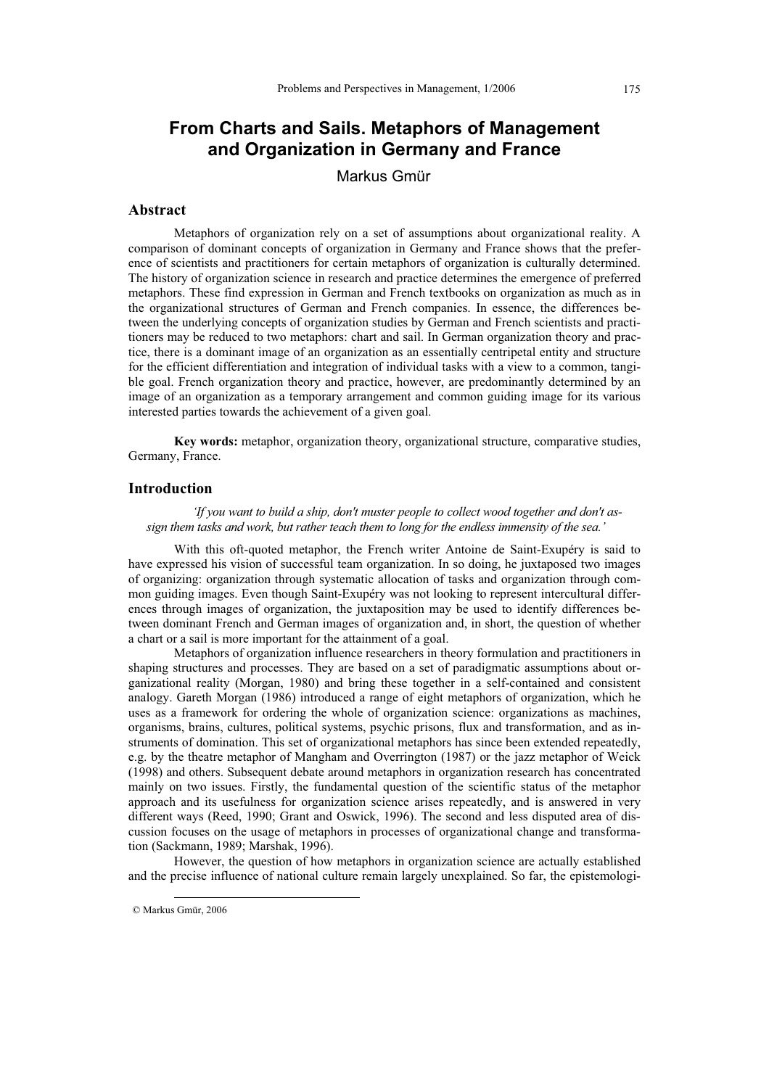# **From Charts and Sails. Metaphors of Management and Organization in Germany and France**

Markus Gmür

#### **Abstract**

Metaphors of organization rely on a set of assumptions about organizational reality. A comparison of dominant concepts of organization in Germany and France shows that the preference of scientists and practitioners for certain metaphors of organization is culturally determined. The history of organization science in research and practice determines the emergence of preferred metaphors. These find expression in German and French textbooks on organization as much as in the organizational structures of German and French companies. In essence, the differences between the underlying concepts of organization studies by German and French scientists and practitioners may be reduced to two metaphors: chart and sail. In German organization theory and practice, there is a dominant image of an organization as an essentially centripetal entity and structure for the efficient differentiation and integration of individual tasks with a view to a common, tangible goal. French organization theory and practice, however, are predominantly determined by an image of an organization as a temporary arrangement and common guiding image for its various interested parties towards the achievement of a given goal.

**Key words:** metaphor, organization theory, organizational structure, comparative studies, Germany, France.

### **Introduction**

*'If you want to build a ship, don't muster people to collect wood together and don't assign them tasks and work, but rather teach them to long for the endless immensity of the sea.'* 

With this oft-quoted metaphor, the French writer Antoine de Saint-Exupéry is said to have expressed his vision of successful team organization. In so doing, he juxtaposed two images of organizing: organization through systematic allocation of tasks and organization through common guiding images. Even though Saint-Exupéry was not looking to represent intercultural differences through images of organization, the juxtaposition may be used to identify differences between dominant French and German images of organization and, in short, the question of whether a chart or a sail is more important for the attainment of a goal.

Metaphors of organization influence researchers in theory formulation and practitioners in shaping structures and processes. They are based on a set of paradigmatic assumptions about organizational reality (Morgan, 1980) and bring these together in a self-contained and consistent analogy. Gareth Morgan (1986) introduced a range of eight metaphors of organization, which he uses as a framework for ordering the whole of organization science: organizations as machines, organisms, brains, cultures, political systems, psychic prisons, flux and transformation, and as instruments of domination. This set of organizational metaphors has since been extended repeatedly, e.g. by the theatre metaphor of Mangham and Overrington (1987) or the jazz metaphor of Weick (1998) and others. Subsequent debate around metaphors in organization research has concentrated mainly on two issues. Firstly, the fundamental question of the scientific status of the metaphor approach and its usefulness for organization science arises repeatedly, and is answered in very different ways (Reed, 1990; Grant and Oswick, 1996). The second and less disputed area of discussion focuses on the usage of metaphors in processes of organizational change and transformation (Sackmann, 1989; Marshak, 1996).

However, the question of how metaphors in organization science are actually established and the precise influence of national culture remain largely unexplained. So far, the epistemologi-

 $\overline{a}$ © Markus Gmür, 2006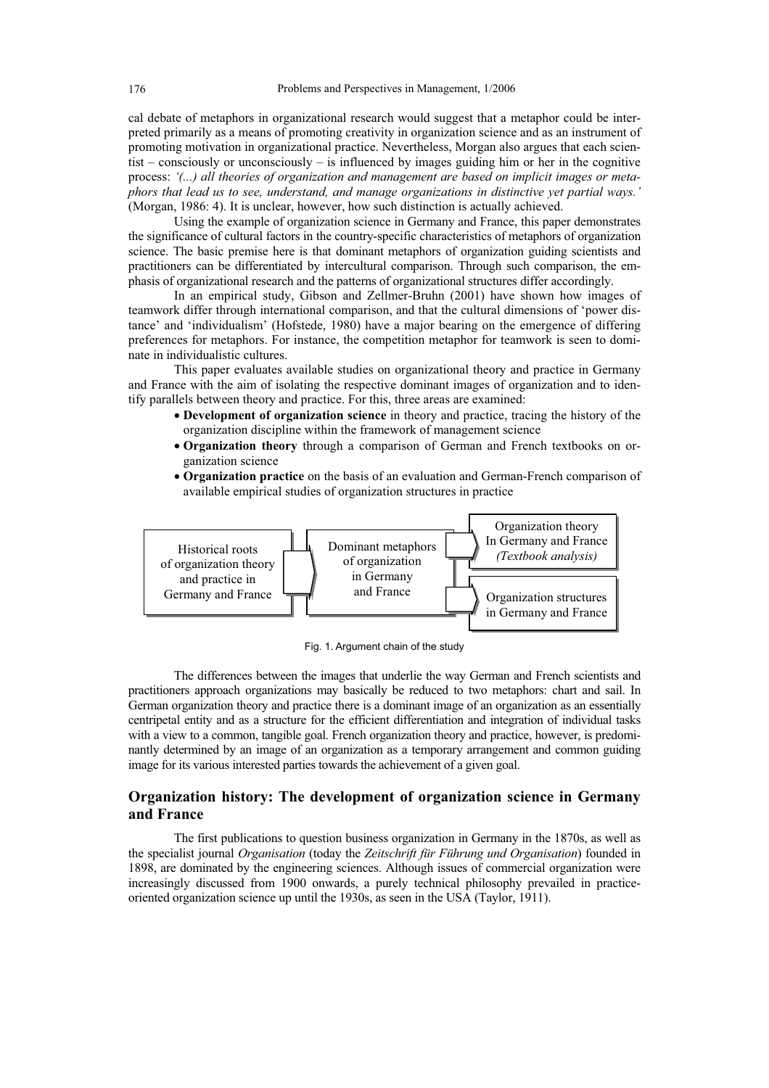cal debate of metaphors in organizational research would suggest that a metaphor could be interpreted primarily as a means of promoting creativity in organization science and as an instrument of promoting motivation in organizational practice. Nevertheless, Morgan also argues that each scientist – consciously or unconsciously – is influenced by images guiding him or her in the cognitive process: *'(...) all theories of organization and management are based on implicit images or metaphors that lead us to see, understand, and manage organizations in distinctive yet partial ways.'*  (Morgan, 1986: 4). It is unclear, however, how such distinction is actually achieved.

Using the example of organization science in Germany and France, this paper demonstrates the significance of cultural factors in the country-specific characteristics of metaphors of organization science. The basic premise here is that dominant metaphors of organization guiding scientists and practitioners can be differentiated by intercultural comparison. Through such comparison, the emphasis of organizational research and the patterns of organizational structures differ accordingly.

In an empirical study, Gibson and Zellmer-Bruhn (2001) have shown how images of teamwork differ through international comparison, and that the cultural dimensions of 'power distance' and 'individualism' (Hofstede, 1980) have a major bearing on the emergence of differing preferences for metaphors. For instance, the competition metaphor for teamwork is seen to dominate in individualistic cultures.

This paper evaluates available studies on organizational theory and practice in Germany and France with the aim of isolating the respective dominant images of organization and to identify parallels between theory and practice. For this, three areas are examined:

- **Development of organization science** in theory and practice, tracing the history of the organization discipline within the framework of management science
- x **Organization theory** through a comparison of German and French textbooks on organization science
- **Organization practice** on the basis of an evaluation and German-French comparison of available empirical studies of organization structures in practice



Fig. 1. Argument chain of the study

The differences between the images that underlie the way German and French scientists and practitioners approach organizations may basically be reduced to two metaphors: chart and sail. In German organization theory and practice there is a dominant image of an organization as an essentially centripetal entity and as a structure for the efficient differentiation and integration of individual tasks with a view to a common, tangible goal. French organization theory and practice, however, is predominantly determined by an image of an organization as a temporary arrangement and common guiding image for its various interested parties towards the achievement of a given goal.

## **Organization history: The development of organization science in Germany and France**

The first publications to question business organization in Germany in the 1870s, as well as the specialist journal *Organisation* (today the *Zeitschrift für Führung und Organisation*) founded in 1898, are dominated by the engineering sciences. Although issues of commercial organization were increasingly discussed from 1900 onwards, a purely technical philosophy prevailed in practiceoriented organization science up until the 1930s, as seen in the USA (Taylor, 1911).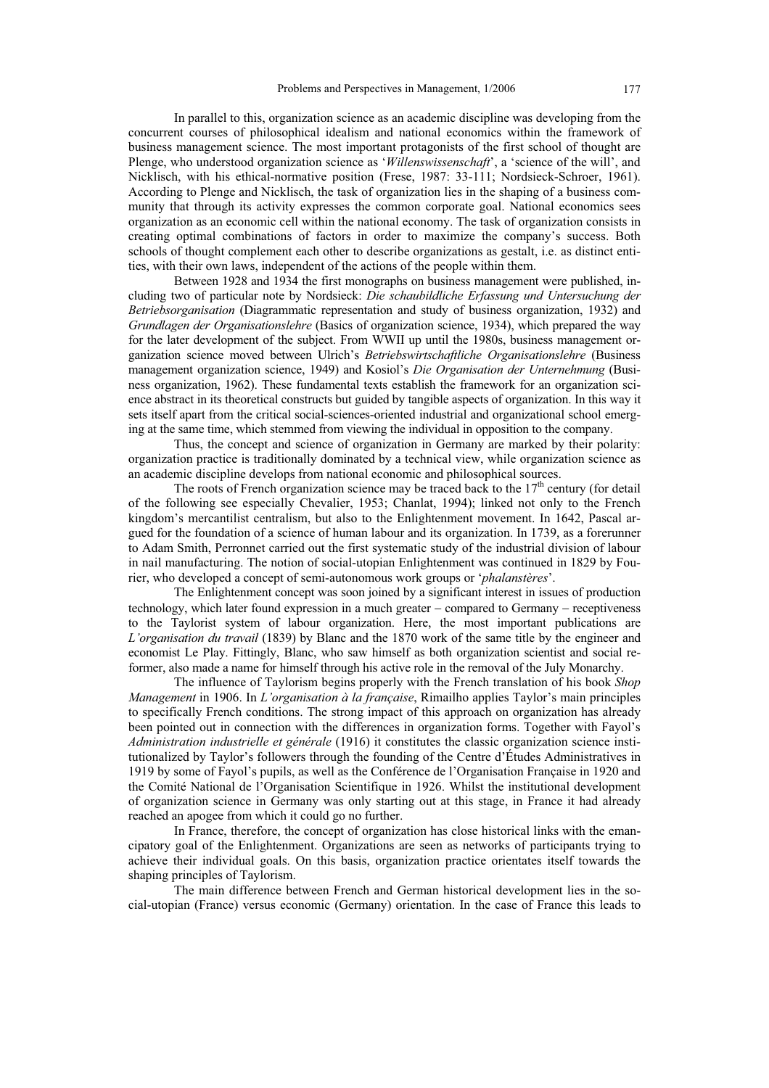In parallel to this, organization science as an academic discipline was developing from the concurrent courses of philosophical idealism and national economics within the framework of business management science. The most important protagonists of the first school of thought are Plenge, who understood organization science as '*Willenswissenschaft*', a 'science of the will', and Nicklisch, with his ethical-normative position (Frese, 1987: 33-111; Nordsieck-Schroer, 1961). According to Plenge and Nicklisch, the task of organization lies in the shaping of a business community that through its activity expresses the common corporate goal. National economics sees organization as an economic cell within the national economy. The task of organization consists in creating optimal combinations of factors in order to maximize the company's success. Both schools of thought complement each other to describe organizations as gestalt, i.e. as distinct entities, with their own laws, independent of the actions of the people within them.

Between 1928 and 1934 the first monographs on business management were published, including two of particular note by Nordsieck: *Die schaubildliche Erfassung und Untersuchung der Betriebsorganisation* (Diagrammatic representation and study of business organization, 1932) and *Grundlagen der Organisationslehre* (Basics of organization science, 1934), which prepared the way for the later development of the subject. From WWII up until the 1980s, business management organization science moved between Ulrich's *Betriebswirtschaftliche Organisationslehre* (Business management organization science, 1949) and Kosiol's *Die Organisation der Unternehmung* (Business organization, 1962). These fundamental texts establish the framework for an organization science abstract in its theoretical constructs but guided by tangible aspects of organization. In this way it sets itself apart from the critical social-sciences-oriented industrial and organizational school emerging at the same time, which stemmed from viewing the individual in opposition to the company.

Thus, the concept and science of organization in Germany are marked by their polarity: organization practice is traditionally dominated by a technical view, while organization science as an academic discipline develops from national economic and philosophical sources.

The roots of French organization science may be traced back to the  $17<sup>th</sup>$  century (for detail of the following see especially Chevalier, 1953; Chanlat, 1994); linked not only to the French kingdom's mercantilist centralism, but also to the Enlightenment movement. In 1642, Pascal argued for the foundation of a science of human labour and its organization. In 1739, as a forerunner to Adam Smith, Perronnet carried out the first systematic study of the industrial division of labour in nail manufacturing. The notion of social-utopian Enlightenment was continued in 1829 by Fourier, who developed a concept of semi-autonomous work groups or '*phalanstères*'.

The Enlightenment concept was soon joined by a significant interest in issues of production technology, which later found expression in a much greater  $-$  compared to Germany  $-$  receptiveness to the Taylorist system of labour organization. Here, the most important publications are *L'organisation du travail* (1839) by Blanc and the 1870 work of the same title by the engineer and economist Le Play. Fittingly, Blanc, who saw himself as both organization scientist and social reformer, also made a name for himself through his active role in the removal of the July Monarchy.

The influence of Taylorism begins properly with the French translation of his book *Shop Management* in 1906. In *L'organisation à la française*, Rimailho applies Taylor's main principles to specifically French conditions. The strong impact of this approach on organization has already been pointed out in connection with the differences in organization forms. Together with Fayol's *Administration industrielle et générale* (1916) it constitutes the classic organization science institutionalized by Taylor's followers through the founding of the Centre d'Études Administratives in 1919 by some of Fayol's pupils, as well as the Conférence de l'Organisation Française in 1920 and the Comité National de l'Organisation Scientifique in 1926. Whilst the institutional development of organization science in Germany was only starting out at this stage, in France it had already reached an apogee from which it could go no further.

In France, therefore, the concept of organization has close historical links with the emancipatory goal of the Enlightenment. Organizations are seen as networks of participants trying to achieve their individual goals. On this basis, organization practice orientates itself towards the shaping principles of Taylorism.

The main difference between French and German historical development lies in the social-utopian (France) versus economic (Germany) orientation. In the case of France this leads to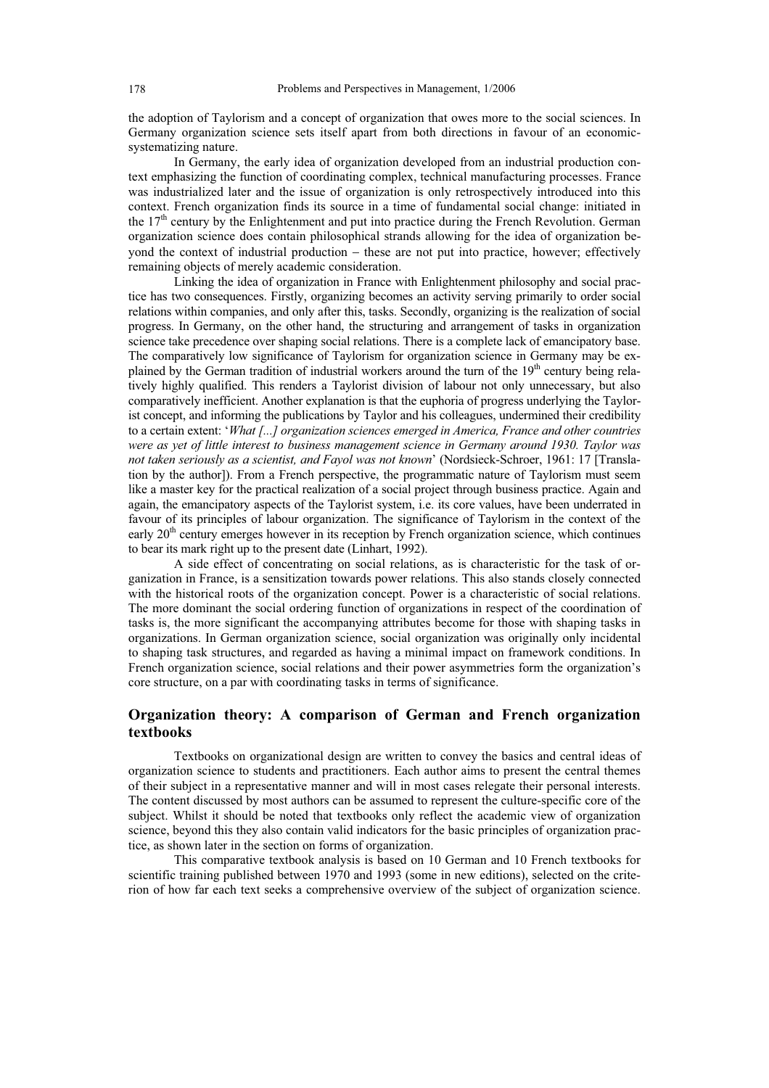the adoption of Taylorism and a concept of organization that owes more to the social sciences. In Germany organization science sets itself apart from both directions in favour of an economicsystematizing nature.

In Germany, the early idea of organization developed from an industrial production context emphasizing the function of coordinating complex, technical manufacturing processes. France was industrialized later and the issue of organization is only retrospectively introduced into this context. French organization finds its source in a time of fundamental social change: initiated in the  $17<sup>th</sup>$  century by the Enlightenment and put into practice during the French Revolution. German organization science does contain philosophical strands allowing for the idea of organization beyond the context of industrial production – these are not put into practice, however; effectively remaining objects of merely academic consideration.

Linking the idea of organization in France with Enlightenment philosophy and social practice has two consequences. Firstly, organizing becomes an activity serving primarily to order social relations within companies, and only after this, tasks. Secondly, organizing is the realization of social progress. In Germany, on the other hand, the structuring and arrangement of tasks in organization science take precedence over shaping social relations. There is a complete lack of emancipatory base. The comparatively low significance of Taylorism for organization science in Germany may be explained by the German tradition of industrial workers around the turn of the 19<sup>th</sup> century being relatively highly qualified. This renders a Taylorist division of labour not only unnecessary, but also comparatively inefficient. Another explanation is that the euphoria of progress underlying the Taylorist concept, and informing the publications by Taylor and his colleagues, undermined their credibility to a certain extent: '*What [...] organization sciences emerged in America, France and other countries were as yet of little interest to business management science in Germany around 1930. Taylor was not taken seriously as a scientist, and Fayol was not known*' (Nordsieck-Schroer, 1961: 17 [Translation by the author]). From a French perspective, the programmatic nature of Taylorism must seem like a master key for the practical realization of a social project through business practice. Again and again, the emancipatory aspects of the Taylorist system, i.e. its core values, have been underrated in favour of its principles of labour organization. The significance of Taylorism in the context of the early 20<sup>th</sup> century emerges however in its reception by French organization science, which continues to bear its mark right up to the present date (Linhart, 1992).

A side effect of concentrating on social relations, as is characteristic for the task of organization in France, is a sensitization towards power relations. This also stands closely connected with the historical roots of the organization concept. Power is a characteristic of social relations. The more dominant the social ordering function of organizations in respect of the coordination of tasks is, the more significant the accompanying attributes become for those with shaping tasks in organizations. In German organization science, social organization was originally only incidental to shaping task structures, and regarded as having a minimal impact on framework conditions. In French organization science, social relations and their power asymmetries form the organization's core structure, on a par with coordinating tasks in terms of significance.

# **Organization theory: A comparison of German and French organization textbooks**

Textbooks on organizational design are written to convey the basics and central ideas of organization science to students and practitioners. Each author aims to present the central themes of their subject in a representative manner and will in most cases relegate their personal interests. The content discussed by most authors can be assumed to represent the culture-specific core of the subject. Whilst it should be noted that textbooks only reflect the academic view of organization science, beyond this they also contain valid indicators for the basic principles of organization practice, as shown later in the section on forms of organization.

This comparative textbook analysis is based on 10 German and 10 French textbooks for scientific training published between 1970 and 1993 (some in new editions), selected on the criterion of how far each text seeks a comprehensive overview of the subject of organization science.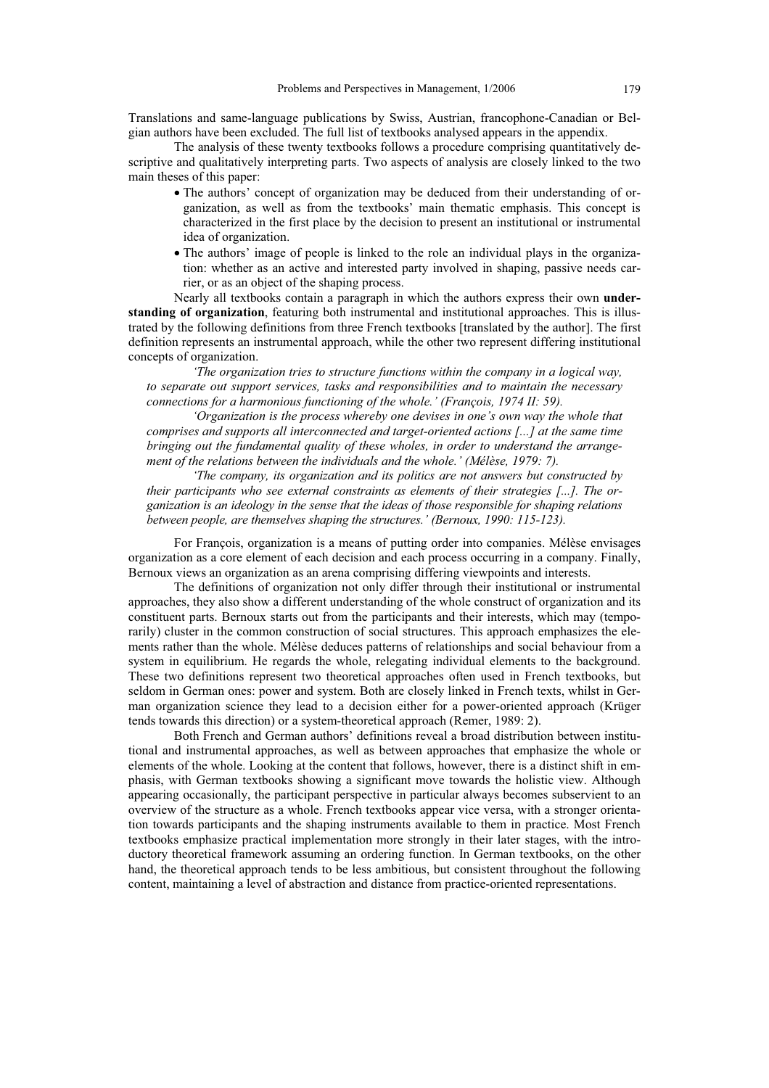Translations and same-language publications by Swiss, Austrian, francophone-Canadian or Belgian authors have been excluded. The full list of textbooks analysed appears in the appendix.

The analysis of these twenty textbooks follows a procedure comprising quantitatively descriptive and qualitatively interpreting parts. Two aspects of analysis are closely linked to the two main theses of this paper:

- The authors' concept of organization may be deduced from their understanding of organization, as well as from the textbooks' main thematic emphasis. This concept is characterized in the first place by the decision to present an institutional or instrumental idea of organization.
- The authors' image of people is linked to the role an individual plays in the organization: whether as an active and interested party involved in shaping, passive needs carrier, or as an object of the shaping process.

Nearly all textbooks contain a paragraph in which the authors express their own **understanding of organization**, featuring both instrumental and institutional approaches. This is illustrated by the following definitions from three French textbooks [translated by the author]. The first definition represents an instrumental approach, while the other two represent differing institutional concepts of organization.

*'The organization tries to structure functions within the company in a logical way, to separate out support services, tasks and responsibilities and to maintain the necessary connections for a harmonious functioning of the whole.' (François, 1974 II: 59).* 

*'Organization is the process whereby one devises in one's own way the whole that comprises and supports all interconnected and target-oriented actions [...] at the same time bringing out the fundamental quality of these wholes, in order to understand the arrangement of the relations between the individuals and the whole.' (Mélèse, 1979: 7).* 

*'The company, its organization and its politics are not answers but constructed by their participants who see external constraints as elements of their strategies [...]. The organization is an ideology in the sense that the ideas of those responsible for shaping relations between people, are themselves shaping the structures.' (Bernoux, 1990: 115-123).* 

For François, organization is a means of putting order into companies. Mélèse envisages organization as a core element of each decision and each process occurring in a company. Finally, Bernoux views an organization as an arena comprising differing viewpoints and interests.

The definitions of organization not only differ through their institutional or instrumental approaches, they also show a different understanding of the whole construct of organization and its constituent parts. Bernoux starts out from the participants and their interests, which may (temporarily) cluster in the common construction of social structures. This approach emphasizes the elements rather than the whole. Mélèse deduces patterns of relationships and social behaviour from a system in equilibrium. He regards the whole, relegating individual elements to the background. These two definitions represent two theoretical approaches often used in French textbooks, but seldom in German ones: power and system. Both are closely linked in French texts, whilst in German organization science they lead to a decision either for a power-oriented approach (Krüger tends towards this direction) or a system-theoretical approach (Remer, 1989: 2).

Both French and German authors' definitions reveal a broad distribution between institutional and instrumental approaches, as well as between approaches that emphasize the whole or elements of the whole. Looking at the content that follows, however, there is a distinct shift in emphasis, with German textbooks showing a significant move towards the holistic view. Although appearing occasionally, the participant perspective in particular always becomes subservient to an overview of the structure as a whole. French textbooks appear vice versa, with a stronger orientation towards participants and the shaping instruments available to them in practice. Most French textbooks emphasize practical implementation more strongly in their later stages, with the introductory theoretical framework assuming an ordering function. In German textbooks, on the other hand, the theoretical approach tends to be less ambitious, but consistent throughout the following content, maintaining a level of abstraction and distance from practice-oriented representations.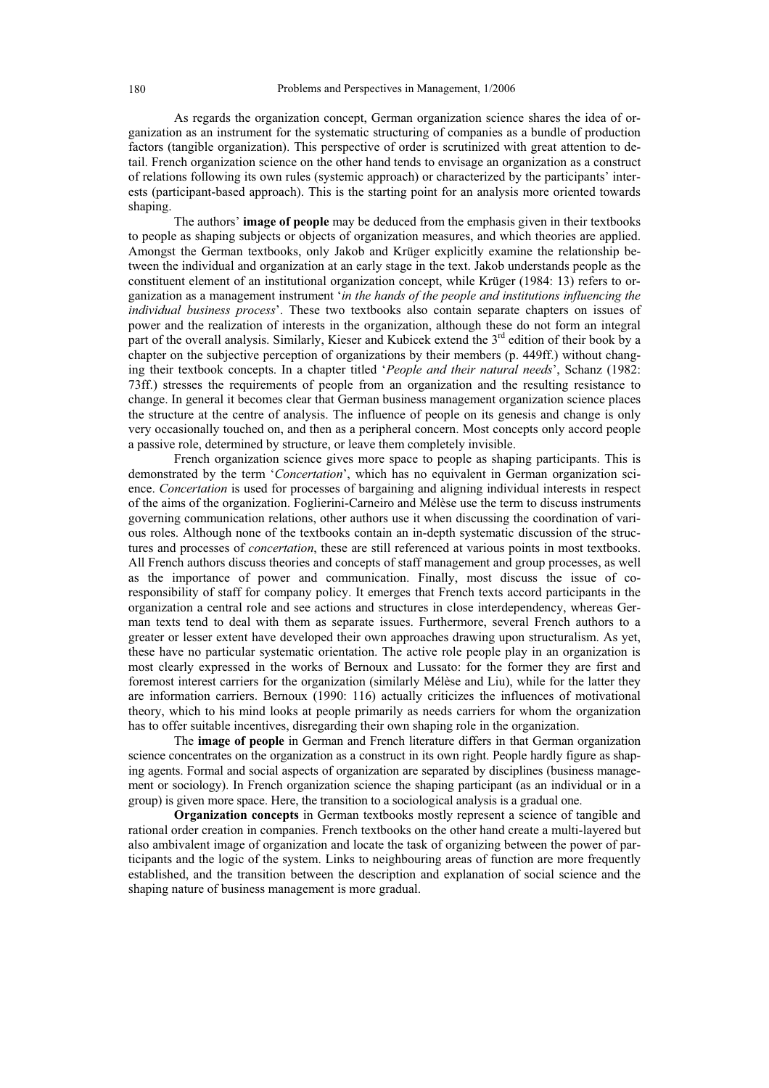As regards the organization concept, German organization science shares the idea of organization as an instrument for the systematic structuring of companies as a bundle of production factors (tangible organization). This perspective of order is scrutinized with great attention to detail. French organization science on the other hand tends to envisage an organization as a construct of relations following its own rules (systemic approach) or characterized by the participants' interests (participant-based approach). This is the starting point for an analysis more oriented towards shaping.

The authors' **image of people** may be deduced from the emphasis given in their textbooks to people as shaping subjects or objects of organization measures, and which theories are applied. Amongst the German textbooks, only Jakob and Krüger explicitly examine the relationship between the individual and organization at an early stage in the text. Jakob understands people as the constituent element of an institutional organization concept, while Krüger (1984: 13) refers to organization as a management instrument '*in the hands of the people and institutions influencing the individual business process*'. These two textbooks also contain separate chapters on issues of power and the realization of interests in the organization, although these do not form an integral part of the overall analysis. Similarly, Kieser and Kubicek extend the 3<sup>rd</sup> edition of their book by a chapter on the subjective perception of organizations by their members (p. 449ff.) without changing their textbook concepts. In a chapter titled '*People and their natural needs*', Schanz (1982: 73ff.) stresses the requirements of people from an organization and the resulting resistance to change. In general it becomes clear that German business management organization science places the structure at the centre of analysis. The influence of people on its genesis and change is only very occasionally touched on, and then as a peripheral concern. Most concepts only accord people a passive role, determined by structure, or leave them completely invisible.

French organization science gives more space to people as shaping participants. This is demonstrated by the term '*Concertation*', which has no equivalent in German organization science. *Concertation* is used for processes of bargaining and aligning individual interests in respect of the aims of the organization. Foglierini-Carneiro and Mélèse use the term to discuss instruments governing communication relations, other authors use it when discussing the coordination of various roles. Although none of the textbooks contain an in-depth systematic discussion of the structures and processes of *concertation*, these are still referenced at various points in most textbooks. All French authors discuss theories and concepts of staff management and group processes, as well as the importance of power and communication. Finally, most discuss the issue of coresponsibility of staff for company policy. It emerges that French texts accord participants in the organization a central role and see actions and structures in close interdependency, whereas German texts tend to deal with them as separate issues. Furthermore, several French authors to a greater or lesser extent have developed their own approaches drawing upon structuralism. As yet, these have no particular systematic orientation. The active role people play in an organization is most clearly expressed in the works of Bernoux and Lussato: for the former they are first and foremost interest carriers for the organization (similarly Mélèse and Liu), while for the latter they are information carriers. Bernoux (1990: 116) actually criticizes the influences of motivational theory, which to his mind looks at people primarily as needs carriers for whom the organization has to offer suitable incentives, disregarding their own shaping role in the organization.

The **image of people** in German and French literature differs in that German organization science concentrates on the organization as a construct in its own right. People hardly figure as shaping agents. Formal and social aspects of organization are separated by disciplines (business management or sociology). In French organization science the shaping participant (as an individual or in a group) is given more space. Here, the transition to a sociological analysis is a gradual one.

**Organization concepts** in German textbooks mostly represent a science of tangible and rational order creation in companies. French textbooks on the other hand create a multi-layered but also ambivalent image of organization and locate the task of organizing between the power of participants and the logic of the system. Links to neighbouring areas of function are more frequently established, and the transition between the description and explanation of social science and the shaping nature of business management is more gradual.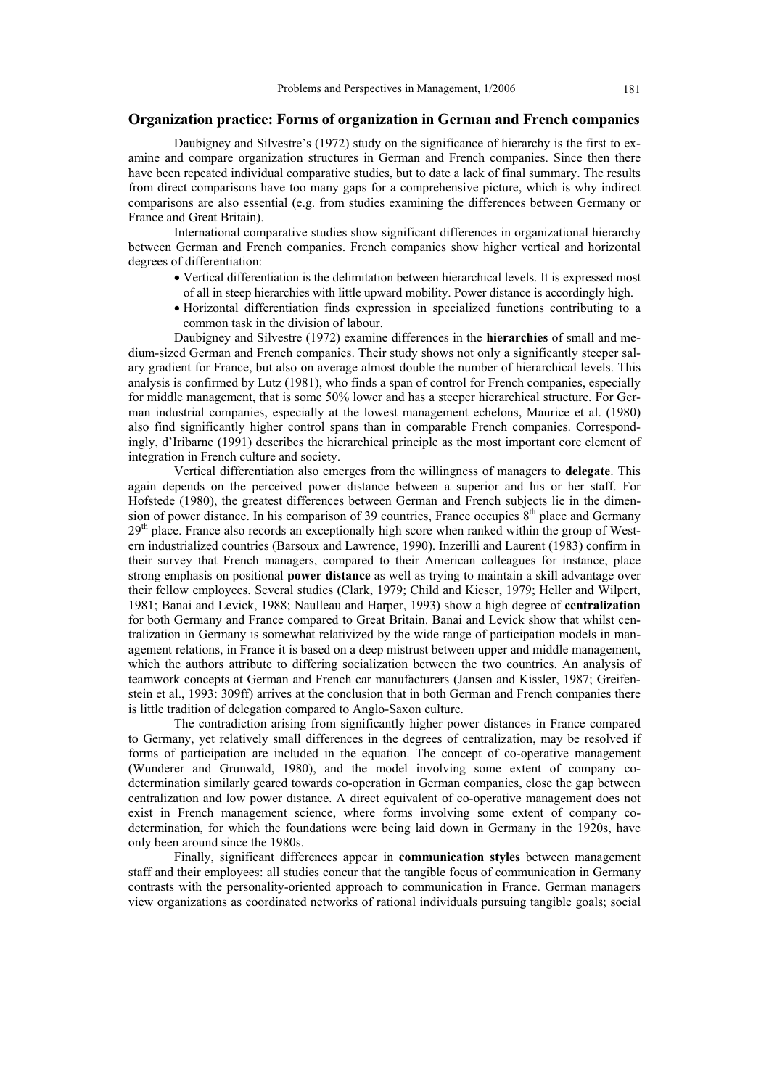### **Organization practice: Forms of organization in German and French companies**

Daubigney and Silvestre's (1972) study on the significance of hierarchy is the first to examine and compare organization structures in German and French companies. Since then there have been repeated individual comparative studies, but to date a lack of final summary. The results from direct comparisons have too many gaps for a comprehensive picture, which is why indirect comparisons are also essential (e.g. from studies examining the differences between Germany or France and Great Britain).

International comparative studies show significant differences in organizational hierarchy between German and French companies. French companies show higher vertical and horizontal degrees of differentiation:

- Vertical differentiation is the delimitation between hierarchical levels. It is expressed most of all in steep hierarchies with little upward mobility. Power distance is accordingly high.
- x Horizontal differentiation finds expression in specialized functions contributing to a common task in the division of labour.

Daubigney and Silvestre (1972) examine differences in the **hierarchies** of small and medium-sized German and French companies. Their study shows not only a significantly steeper salary gradient for France, but also on average almost double the number of hierarchical levels. This analysis is confirmed by Lutz (1981), who finds a span of control for French companies, especially for middle management, that is some 50% lower and has a steeper hierarchical structure. For German industrial companies, especially at the lowest management echelons, Maurice et al. (1980) also find significantly higher control spans than in comparable French companies. Correspondingly, d'Iribarne (1991) describes the hierarchical principle as the most important core element of integration in French culture and society.

Vertical differentiation also emerges from the willingness of managers to **delegate**. This again depends on the perceived power distance between a superior and his or her staff. For Hofstede (1980), the greatest differences between German and French subjects lie in the dimension of power distance. In his comparison of 39 countries, France occupies  $8<sup>th</sup>$  place and Germany 29<sup>th</sup> place. France also records an exceptionally high score when ranked within the group of Western industrialized countries (Barsoux and Lawrence, 1990). Inzerilli and Laurent (1983) confirm in their survey that French managers, compared to their American colleagues for instance, place strong emphasis on positional **power distance** as well as trying to maintain a skill advantage over their fellow employees. Several studies (Clark, 1979; Child and Kieser, 1979; Heller and Wilpert, 1981; Banai and Levick, 1988; Naulleau and Harper, 1993) show a high degree of **centralization** for both Germany and France compared to Great Britain. Banai and Levick show that whilst centralization in Germany is somewhat relativized by the wide range of participation models in management relations, in France it is based on a deep mistrust between upper and middle management, which the authors attribute to differing socialization between the two countries. An analysis of teamwork concepts at German and French car manufacturers (Jansen and Kissler, 1987; Greifenstein et al., 1993: 309ff) arrives at the conclusion that in both German and French companies there is little tradition of delegation compared to Anglo-Saxon culture.

The contradiction arising from significantly higher power distances in France compared to Germany, yet relatively small differences in the degrees of centralization, may be resolved if forms of participation are included in the equation. The concept of co-operative management (Wunderer and Grunwald, 1980), and the model involving some extent of company codetermination similarly geared towards co-operation in German companies, close the gap between centralization and low power distance. A direct equivalent of co-operative management does not exist in French management science, where forms involving some extent of company codetermination, for which the foundations were being laid down in Germany in the 1920s, have only been around since the 1980s.

Finally, significant differences appear in **communication styles** between management staff and their employees: all studies concur that the tangible focus of communication in Germany contrasts with the personality-oriented approach to communication in France. German managers view organizations as coordinated networks of rational individuals pursuing tangible goals; social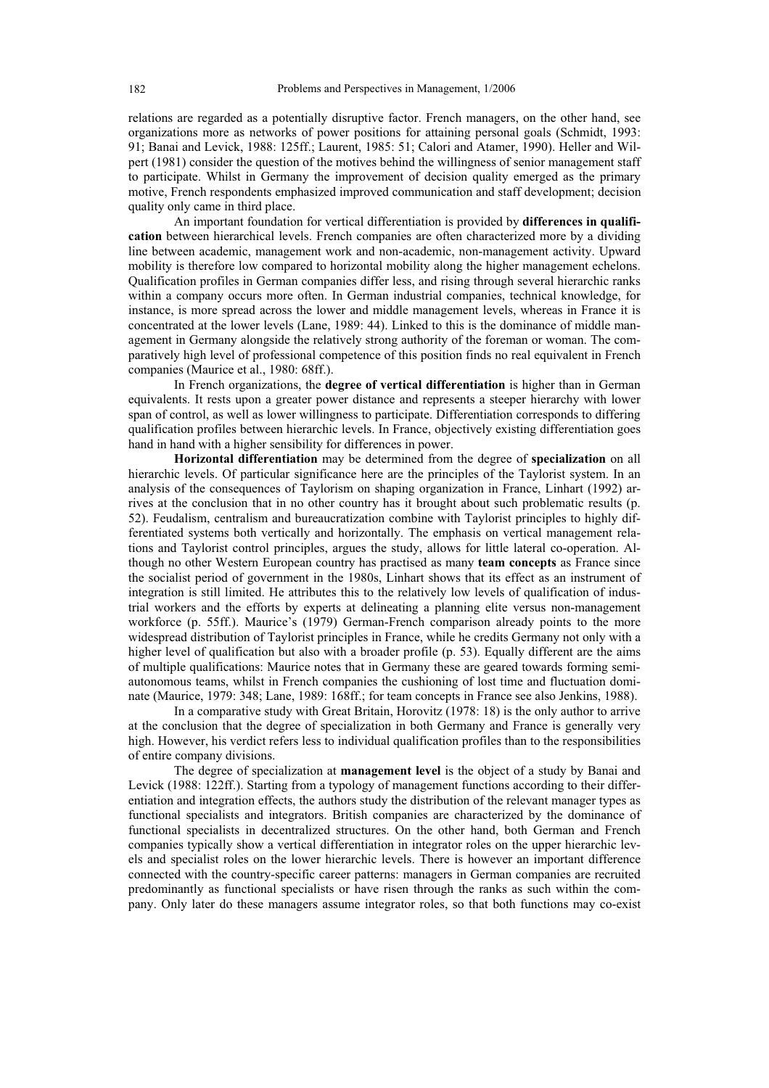relations are regarded as a potentially disruptive factor. French managers, on the other hand, see organizations more as networks of power positions for attaining personal goals (Schmidt, 1993: 91; Banai and Levick, 1988: 125ff.; Laurent, 1985: 51; Calori and Atamer, 1990). Heller and Wilpert (1981) consider the question of the motives behind the willingness of senior management staff to participate. Whilst in Germany the improvement of decision quality emerged as the primary motive, French respondents emphasized improved communication and staff development; decision quality only came in third place.

An important foundation for vertical differentiation is provided by **differences in qualification** between hierarchical levels. French companies are often characterized more by a dividing line between academic, management work and non-academic, non-management activity. Upward mobility is therefore low compared to horizontal mobility along the higher management echelons. Qualification profiles in German companies differ less, and rising through several hierarchic ranks within a company occurs more often. In German industrial companies, technical knowledge, for instance, is more spread across the lower and middle management levels, whereas in France it is concentrated at the lower levels (Lane, 1989: 44). Linked to this is the dominance of middle management in Germany alongside the relatively strong authority of the foreman or woman. The comparatively high level of professional competence of this position finds no real equivalent in French companies (Maurice et al., 1980: 68ff.).

In French organizations, the **degree of vertical differentiation** is higher than in German equivalents. It rests upon a greater power distance and represents a steeper hierarchy with lower span of control, as well as lower willingness to participate. Differentiation corresponds to differing qualification profiles between hierarchic levels. In France, objectively existing differentiation goes hand in hand with a higher sensibility for differences in power.

**Horizontal differentiation** may be determined from the degree of **specialization** on all hierarchic levels. Of particular significance here are the principles of the Taylorist system. In an analysis of the consequences of Taylorism on shaping organization in France, Linhart (1992) arrives at the conclusion that in no other country has it brought about such problematic results (p. 52). Feudalism, centralism and bureaucratization combine with Taylorist principles to highly differentiated systems both vertically and horizontally. The emphasis on vertical management relations and Taylorist control principles, argues the study, allows for little lateral co-operation. Although no other Western European country has practised as many **team concepts** as France since the socialist period of government in the 1980s, Linhart shows that its effect as an instrument of integration is still limited. He attributes this to the relatively low levels of qualification of industrial workers and the efforts by experts at delineating a planning elite versus non-management workforce (p. 55ff.). Maurice's (1979) German-French comparison already points to the more widespread distribution of Taylorist principles in France, while he credits Germany not only with a higher level of qualification but also with a broader profile (p. 53). Equally different are the aims of multiple qualifications: Maurice notes that in Germany these are geared towards forming semiautonomous teams, whilst in French companies the cushioning of lost time and fluctuation dominate (Maurice, 1979: 348; Lane, 1989: 168ff.; for team concepts in France see also Jenkins, 1988).

In a comparative study with Great Britain, Horovitz (1978: 18) is the only author to arrive at the conclusion that the degree of specialization in both Germany and France is generally very high. However, his verdict refers less to individual qualification profiles than to the responsibilities of entire company divisions.

The degree of specialization at **management level** is the object of a study by Banai and Levick (1988: 122ff.). Starting from a typology of management functions according to their differentiation and integration effects, the authors study the distribution of the relevant manager types as functional specialists and integrators. British companies are characterized by the dominance of functional specialists in decentralized structures. On the other hand, both German and French companies typically show a vertical differentiation in integrator roles on the upper hierarchic levels and specialist roles on the lower hierarchic levels. There is however an important difference connected with the country-specific career patterns: managers in German companies are recruited predominantly as functional specialists or have risen through the ranks as such within the company. Only later do these managers assume integrator roles, so that both functions may co-exist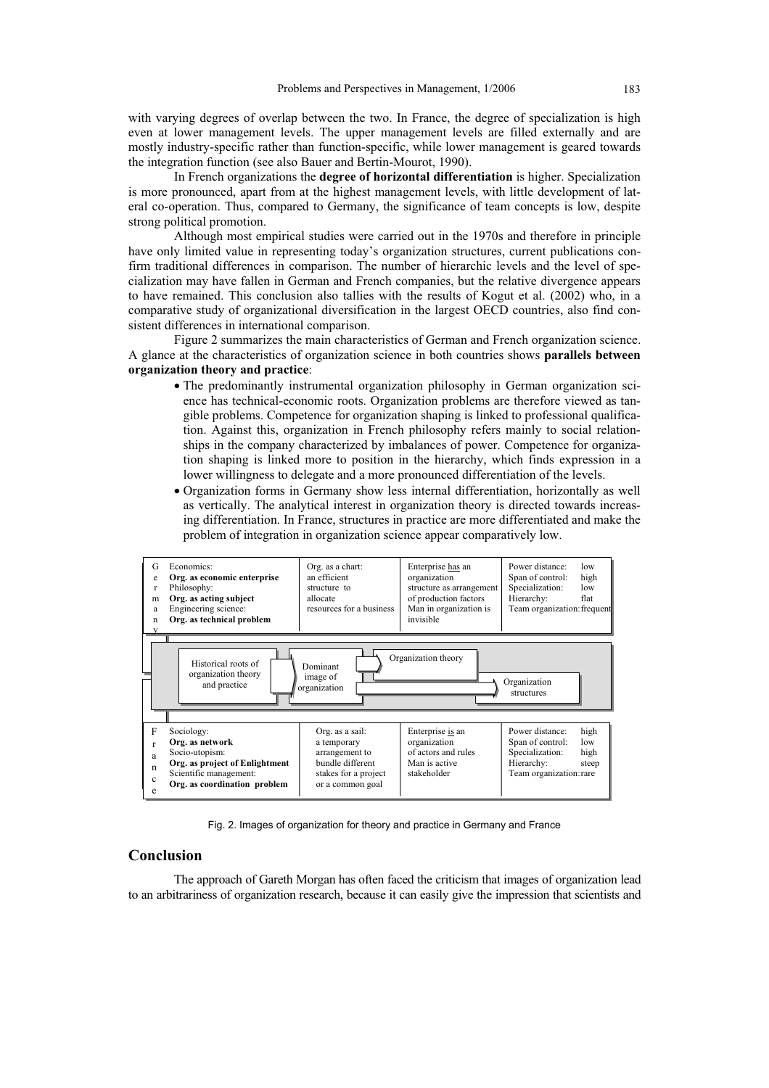with varying degrees of overlap between the two. In France, the degree of specialization is high even at lower management levels. The upper management levels are filled externally and are mostly industry-specific rather than function-specific, while lower management is geared towards the integration function (see also Bauer and Bertin-Mourot, 1990).

In French organizations the **degree of horizontal differentiation** is higher. Specialization is more pronounced, apart from at the highest management levels, with little development of lateral co-operation. Thus, compared to Germany, the significance of team concepts is low, despite strong political promotion.

Although most empirical studies were carried out in the 1970s and therefore in principle have only limited value in representing today's organization structures, current publications confirm traditional differences in comparison. The number of hierarchic levels and the level of specialization may have fallen in German and French companies, but the relative divergence appears to have remained. This conclusion also tallies with the results of Kogut et al. (2002) who, in a comparative study of organizational diversification in the largest OECD countries, also find consistent differences in international comparison.

Figure 2 summarizes the main characteristics of German and French organization science. A glance at the characteristics of organization science in both countries shows **parallels between organization theory and practice**:

- The predominantly instrumental organization philosophy in German organization science has technical-economic roots. Organization problems are therefore viewed as tangible problems. Competence for organization shaping is linked to professional qualification. Against this, organization in French philosophy refers mainly to social relationships in the company characterized by imbalances of power. Competence for organization shaping is linked more to position in the hierarchy, which finds expression in a lower willingness to delegate and a more pronounced differentiation of the levels.
- x Organization forms in Germany show less internal differentiation, horizontally as well as vertically. The analytical interest in organization theory is directed towards increasing differentiation. In France, structures in practice are more differentiated and make the problem of integration in organization science appear comparatively low.



Fig. 2. Images of organization for theory and practice in Germany and France

## **Conclusion**

The approach of Gareth Morgan has often faced the criticism that images of organization lead to an arbitrariness of organization research, because it can easily give the impression that scientists and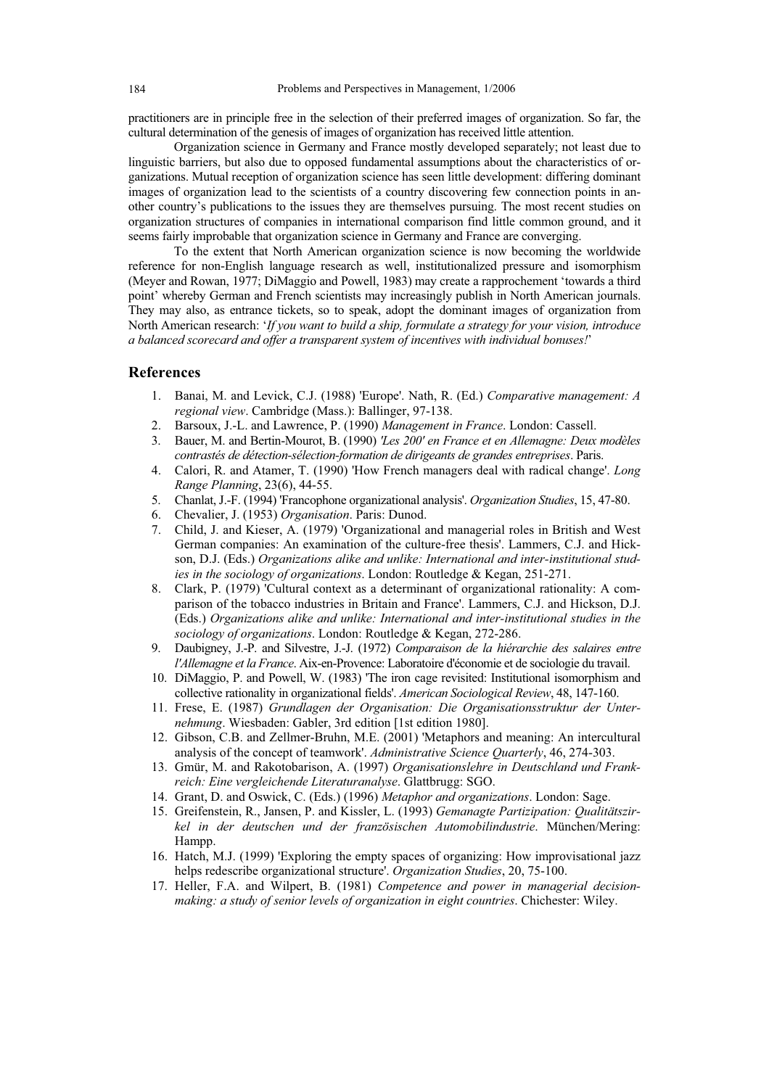practitioners are in principle free in the selection of their preferred images of organization. So far, the cultural determination of the genesis of images of organization has received little attention.

Organization science in Germany and France mostly developed separately; not least due to linguistic barriers, but also due to opposed fundamental assumptions about the characteristics of organizations. Mutual reception of organization science has seen little development: differing dominant images of organization lead to the scientists of a country discovering few connection points in another country's publications to the issues they are themselves pursuing. The most recent studies on organization structures of companies in international comparison find little common ground, and it seems fairly improbable that organization science in Germany and France are converging.

To the extent that North American organization science is now becoming the worldwide reference for non-English language research as well, institutionalized pressure and isomorphism (Meyer and Rowan, 1977; DiMaggio and Powell, 1983) may create a rapprochement 'towards a third point' whereby German and French scientists may increasingly publish in North American journals. They may also, as entrance tickets, so to speak, adopt the dominant images of organization from North American research: '*If you want to build a ship, formulate a strategy for your vision, introduce a balanced scorecard and offer a transparent system of incentives with individual bonuses!*'

#### **References**

- 1. Banai, M. and Levick, C.J. (1988) 'Europe'. Nath, R. (Ed.) *Comparative management: A regional view*. Cambridge (Mass.): Ballinger, 97-138.
- 2. Barsoux, J.-L. and Lawrence, P. (1990) *Management in France*. London: Cassell.
- 3. Bauer, M. and Bertin-Mourot, B. (1990) *'Les 200' en France et en Allemagne: Deux modèles contrastés de détection-sélection-formation de dirigeants de grandes entreprises*. Paris.
- 4. Calori, R. and Atamer, T. (1990) 'How French managers deal with radical change'. *Long Range Planning*, 23(6), 44-55.
- 5. Chanlat, J.-F. (1994) 'Francophone organizational analysis'. *Organization Studies*, 15, 47-80.
- 6. Chevalier, J. (1953) *Organisation*. Paris: Dunod.
- 7. Child, J. and Kieser, A. (1979) 'Organizational and managerial roles in British and West German companies: An examination of the culture-free thesis'. Lammers, C.J. and Hickson, D.J. (Eds.) *Organizations alike and unlike: International and inter-institutional studies in the sociology of organizations*. London: Routledge & Kegan, 251-271.
- 8. Clark, P. (1979) 'Cultural context as a determinant of organizational rationality: A comparison of the tobacco industries in Britain and France'. Lammers, C.J. and Hickson, D.J. (Eds.) *Organizations alike and unlike: International and inter-institutional studies in the sociology of organizations*. London: Routledge & Kegan, 272-286.
- 9. Daubigney, J.-P. and Silvestre, J.-J. (1972) *Comparaison de la hiérarchie des salaires entre l'Allemagne et la France*. Aix-en-Provence: Laboratoire d'économie et de sociologie du travail.
- 10. DiMaggio, P. and Powell, W. (1983) 'The iron cage revisited: Institutional isomorphism and collective rationality in organizational fields'. *American Sociological Review*, 48, 147-160.
- 11. Frese, E. (1987) *Grundlagen der Organisation: Die Organisationsstruktur der Unternehmung*. Wiesbaden: Gabler, 3rd edition [1st edition 1980].
- 12. Gibson, C.B. and Zellmer-Bruhn, M.E. (2001) 'Metaphors and meaning: An intercultural analysis of the concept of teamwork'. *Administrative Science Quarterly*, 46, 274-303.
- 13. Gmür, M. and Rakotobarison, A. (1997) *Organisationslehre in Deutschland und Frankreich: Eine vergleichende Literaturanalyse*. Glattbrugg: SGO.
- 14. Grant, D. and Oswick, C. (Eds.) (1996) *Metaphor and organizations*. London: Sage.
- 15. Greifenstein, R., Jansen, P. and Kissler, L. (1993) *Gemanagte Partizipation: Qualitätszirkel in der deutschen und der französischen Automobilindustrie*. München/Mering: Hampp.
- 16. Hatch, M.J. (1999) 'Exploring the empty spaces of organizing: How improvisational jazz helps redescribe organizational structure'. *Organization Studies*, 20, 75-100.
- 17. Heller, F.A. and Wilpert, B. (1981) *Competence and power in managerial decisionmaking: a study of senior levels of organization in eight countries*. Chichester: Wiley.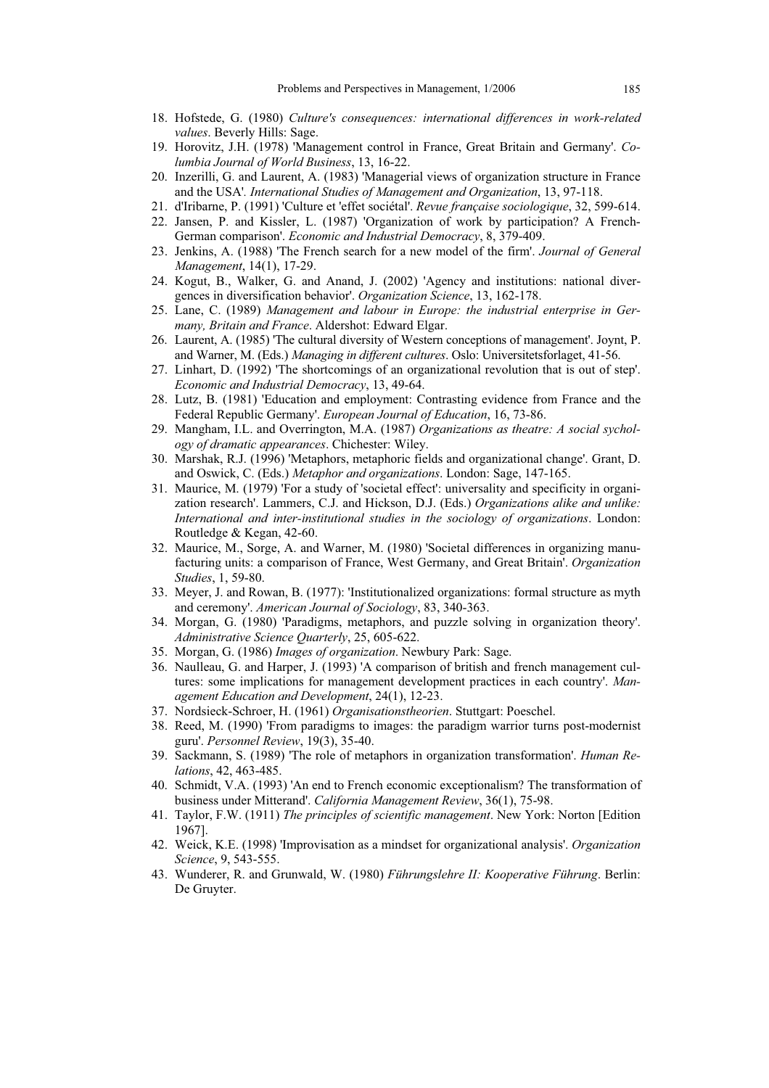- 18. Hofstede, G. (1980) *Culture's consequences: international differences in work-related values*. Beverly Hills: Sage.
- 19. Horovitz, J.H. (1978) 'Management control in France, Great Britain and Germany'. *Columbia Journal of World Business*, 13, 16-22.
- 20. Inzerilli, G. and Laurent, A. (1983) 'Managerial views of organization structure in France and the USA'*. International Studies of Management and Organization*, 13, 97-118.
- 21. d'Iribarne, P. (1991) 'Culture et 'effet sociétal'. *Revue française sociologique*, 32, 599-614.
- 22. Jansen, P. and Kissler, L. (1987) 'Organization of work by participation? A French-German comparison'. *Economic and Industrial Democracy*, 8, 379-409.
- 23. Jenkins, A. (1988) 'The French search for a new model of the firm'. *Journal of General Management*, 14(1), 17-29.
- 24. Kogut, B., Walker, G. and Anand, J. (2002) 'Agency and institutions: national divergences in diversification behavior'. *Organization Science*, 13, 162-178.
- 25. Lane, C. (1989) *Management and labour in Europe: the industrial enterprise in Germany, Britain and France*. Aldershot: Edward Elgar.
- 26. Laurent, A. (1985) 'The cultural diversity of Western conceptions of management'. Joynt, P. and Warner, M. (Eds.) *Managing in different cultures*. Oslo: Universitetsforlaget, 41-56.
- 27. Linhart, D. (1992) 'The shortcomings of an organizational revolution that is out of step'. *Economic and Industrial Democracy*, 13, 49-64.
- 28. Lutz, B. (1981) 'Education and employment: Contrasting evidence from France and the Federal Republic Germany'. *European Journal of Education*, 16, 73-86.
- 29. Mangham, I.L. and Overrington, M.A. (1987) *Organizations as theatre: A social sychology of dramatic appearances*. Chichester: Wiley.
- 30. Marshak, R.J. (1996) 'Metaphors, metaphoric fields and organizational change'. Grant, D. and Oswick, C. (Eds.) *Metaphor and organizations*. London: Sage, 147-165.
- 31. Maurice, M. (1979) 'For a study of 'societal effect': universality and specificity in organization research'. Lammers, C.J. and Hickson, D.J. (Eds.) *Organizations alike and unlike: International and inter-institutional studies in the sociology of organizations*. London: Routledge & Kegan, 42-60.
- 32. Maurice, M., Sorge, A. and Warner, M. (1980) 'Societal differences in organizing manufacturing units: a comparison of France, West Germany, and Great Britain'. *Organization Studies*, 1, 59-80.
- 33. Meyer, J. and Rowan, B. (1977): 'Institutionalized organizations: formal structure as myth and ceremony'. *American Journal of Sociology*, 83, 340-363.
- 34. Morgan, G. (1980) 'Paradigms, metaphors, and puzzle solving in organization theory'. *Administrative Science Quarterly*, 25, 605-622.
- 35. Morgan, G. (1986) *Images of organization*. Newbury Park: Sage.
- 36. Naulleau, G. and Harper, J. (1993) 'A comparison of british and french management cultures: some implications for management development practices in each country'. *Management Education and Development*, 24(1), 12-23.
- 37. Nordsieck-Schroer, H. (1961) *Organisationstheorien*. Stuttgart: Poeschel.
- 38. Reed, M. (1990) 'From paradigms to images: the paradigm warrior turns post-modernist guru'. *Personnel Review*, 19(3), 35-40.
- 39. Sackmann, S. (1989) 'The role of metaphors in organization transformation'. *Human Relations*, 42, 463-485.
- 40. Schmidt, V.A. (1993) 'An end to French economic exceptionalism? The transformation of business under Mitterand'. *California Management Review*, 36(1), 75-98.
- 41. Taylor, F.W. (1911) *The principles of scientific management*. New York: Norton [Edition 1967].
- 42. Weick, K.E. (1998) 'Improvisation as a mindset for organizational analysis'. *Organization Science*, 9, 543-555.
- 43. Wunderer, R. and Grunwald, W. (1980) *Führungslehre II: Kooperative Führung*. Berlin: De Gruyter.